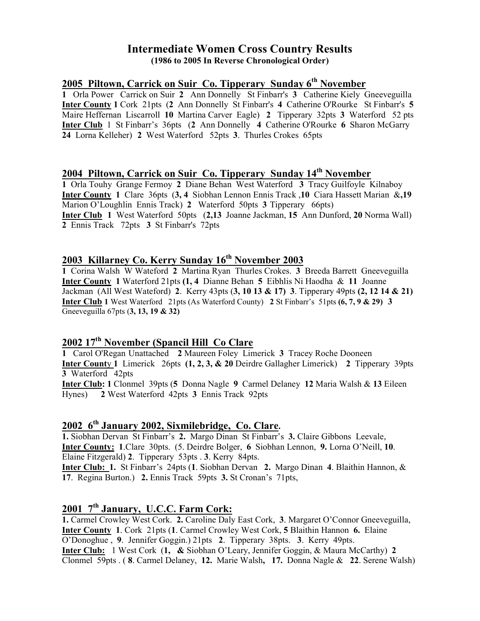### Intermediate Women Cross Country Results (1986 to 2005 In Reverse Chronological Order)

### 2005 Piltown, Carrick on Suir Co. Tipperary Sunday  $6<sup>th</sup>$  November

1 Orla Power Carrick on Suir 2 Ann Donnelly St Finbarr's 3 Catherine Kiely Gneeveguilla Inter County 1 Cork 21pts (2 Ann Donnelly St Finbarr's 4 Catherine O'Rourke St Finbarr's 5 Maire Heffernan Liscarroll 10 Martina Carver Eagle) 2 Tipperary 32pts 3 Waterford 52 pts Inter Club 1 St Finbarr's 36pts (2 Ann Donnelly 4 Catherine O'Rourke 6 Sharon McGarry 24 Lorna Kelleher) 2 West Waterford 52pts 3. Thurles Crokes 65pts

### 2004 Piltown, Carrick on Suir Co. Tipperary Sunday 14<sup>th</sup> November

1 Orla Touhy Grange Fermoy 2 Diane Behan West Waterford 3 Tracy Guilfoyle Kilnaboy Inter County 1 Clare 36pts (3, 4 Siobhan Lennon Ennis Track ,10 Ciara Hassett Marian &,19 Marion O'Loughlin Ennis Track) 2 Waterford 50pts 3 Tipperary 66pts) Inter Club 1 West Waterford 50pts (2,13 Joanne Jackman, 15 Ann Dunford, 20 Norma Wall) 2 Ennis Track 72pts 3 St Finbarr's 72pts

# 2003 Killarney Co. Kerry Sunday 16<sup>th</sup> November 2003

1 Corina Walsh W Wateford 2 Martina Ryan Thurles Crokes. 3 Breeda Barrett Gneeveguilla Inter County 1 Waterford 21pts (1, 4 Dianne Behan 5 Eibhlis Ni Haodha & 11 Joanne Jackman (All West Wateford) 2. Kerry 43pts  $(3, 10 \, 13 \, \& 17)$  3. Tipperary 49pts  $(2, 12 \, 14 \, \& 21)$ Inter Club 1 West Waterford 21pts (As Waterford County) 2 St Finbarr's 51pts (6, 7, 9 & 29) 3 Gneeveguilla 67pts (3, 13, 19 & 32)

## 2002 17th November (Spancil Hill Co Clare

1 Carol O'Regan Unattached 2 Maureen Foley Limerick 3 Tracey Roche Dooneen Inter County 1 Limerick 26pts (1, 2, 3, & 20 Deirdre Gallagher Limerick) 2 Tipperary 39pts 3 Waterford 42pts

Inter Club: 1 Clonmel 39pts (5 Donna Nagle 9 Carmel Delaney 12 Maria Walsh & 13 Eileen Hynes) 2 West Waterford 42pts 3 Ennis Track 92pts

### 2002 6<sup>th</sup> January 2002, Sixmilebridge, Co. Clare.

1. Siobhan Dervan St Finbarr's 2. Margo Dinan St Finbarr's 3. Claire Gibbons Leevale, Inter County: 1.Clare 30pts. (5. Deirdre Bolger, 6 Siobhan Lennon, 9. Lorna O'Neill, 10. Elaine Fitzgerald) 2. Tipperary 53pts . 3. Kerry 84pts. Inter Club: 1. St Finbarr's 24pts (1. Siobhan Dervan 2. Margo Dinan 4. Blaithin Hannon, &

17. Regina Burton.) 2. Ennis Track 59pts 3. St Cronan's 71pts,

# 2001 7<sup>th</sup> January, U.C.C. Farm Cork:

1. Carmel Crowley West Cork. 2. Caroline Daly East Cork, 3. Margaret O'Connor Gneeveguilla, Inter County 1. Cork 21pts (1. Carmel Crowley West Cork, 5 Blaithin Hannon 6. Elaine O'Donoghue , 9. Jennifer Goggin.) 21pts 2. Tipperary 38pts. 3. Kerry 49pts. Inter Club: 1 West Cork (1, & Siobhan O'Leary, Jennifer Goggin, & Maura McCarthy) 2 Clonmel 59pts . ( 8. Carmel Delaney, 12. Marie Walsh, 17. Donna Nagle & 22. Serene Walsh)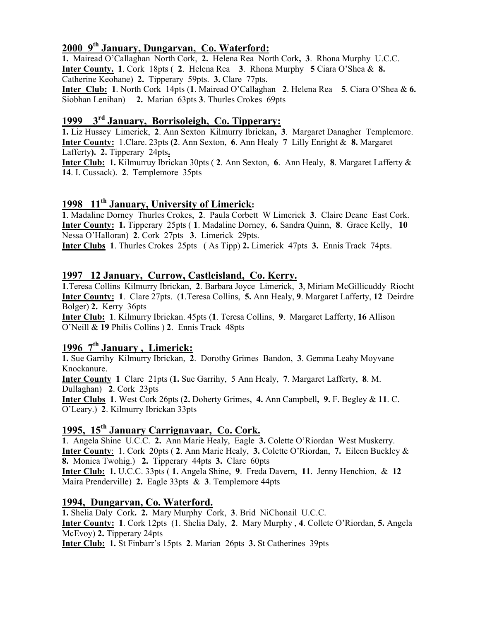# 2000 9th January, Dungarvan, Co. Waterford:

1. Mairead O'Callaghan North Cork, 2. Helena Rea North Cork, 3. Rhona Murphy U.C.C. Inter County. 1. Cork 18pts ( 2. Helena Rea 3. Rhona Murphy 5 Ciara O'Shea & 8. Catherine Keohane) 2. Tipperary 59pts. 3. Clare 77pts. Inter Club: 1. North Cork 14pts (1. Mairead O'Callaghan 2. Helena Rea 5. Ciara O'Shea & 6.

Siobhan Lenihan) 2. Marian 63pts 3. Thurles Crokes 69pts

# 1999 3rd January, Borrisoleigh, Co. Tipperary:

1. Liz Hussey Limerick, 2. Ann Sexton Kilmurry Ibrickan, 3. Margaret Danagher Templemore. Inter County: 1.Clare. 23pts (2. Ann Sexton, 6. Ann Healy 7 Lilly Enright & 8. Margaret Lafferty). 2. Tipperary 24pts.

Inter Club: 1. Kilmurruy Ibrickan 30pts ( 2. Ann Sexton, 6. Ann Healy, 8. Margaret Lafferty & 14. I. Cussack). 2. Templemore 35pts

## 1998 11<sup>th</sup> January, University of Limerick:

1. Madaline Dorney Thurles Crokes, 2. Paula Corbett W Limerick 3. Claire Deane East Cork. Inter County: 1. Tipperary 25pts ( 1. Madaline Dorney, 6. Sandra Quinn, 8. Grace Kelly, 10 Nessa O'Halloran) 2. Cork 27pts 3. Limerick 29pts.

Inter Clubs 1. Thurles Crokes 25pts ( As Tipp) 2. Limerick 47pts 3. Ennis Track 74pts.

### 1997 12 January, Currow, Castleisland, Co. Kerry.

1.Teresa Collins Kilmurry Ibrickan, 2. Barbara Joyce Limerick, 3, Miriam McGillicuddy Riocht Inter County: 1. Clare 27pts. (1.Teresa Collins, 5. Ann Healy, 9. Margaret Lafferty, 12 Deirdre Bolger) 2. Kerry 36pts

Inter Club: 1. Kilmurry Ibrickan. 45pts (1. Teresa Collins, 9. Margaret Lafferty, 16 Allison O'Neill & 19 Philis Collins ) 2. Ennis Track 48pts

# 1996 7<sup>th</sup> January, Limerick:

1. Sue Garrihy Kilmurry Ibrickan, 2. Dorothy Grimes Bandon, 3. Gemma Leahy Moyvane Knockanure.

Inter County 1 Clare 21pts (1. Sue Garrihy, 5 Ann Healy, 7. Margaret Lafferty, 8. M. Dullaghan) 2. Cork 23pts

Inter Clubs 1. West Cork 26pts (2. Doherty Grimes, 4. Ann Campbell, 9. F. Begley & 11. C. O'Leary.) 2. Kilmurry Ibrickan 33pts

# 1995, 15<sup>th</sup> January Carrignavaar, Co. Cork.

1. Angela Shine U.C.C. 2. Ann Marie Healy, Eagle 3. Colette O'Riordan West Muskerry. Inter County: 1. Cork 20pts ( 2. Ann Marie Healy, 3. Colette O'Riordan, 7. Eileen Buckley & 8. Monica Twohig.) 2. Tipperary 44pts 3. Clare 60pts

Inter Club: 1. U.C.C. 33pts ( 1. Angela Shine, 9. Freda Davern, 11. Jenny Henchion, & 12 Maira Prenderville) 2. Eagle 33pts & 3. Templemore 44pts

### 1994, Dungarvan, Co. Waterford.

1. Shelia Daly Cork. 2. Mary Murphy Cork, 3. Brid NiChonail U.C.C. Inter County: 1. Cork 12pts (1. Shelia Daly, 2. Mary Murphy , 4. Collete O'Riordan, 5. Angela McEvoy) 2. Tipperary 24pts Inter Club: 1. St Finbarr's 15pts 2. Marian 26pts 3. St Catherines 39pts